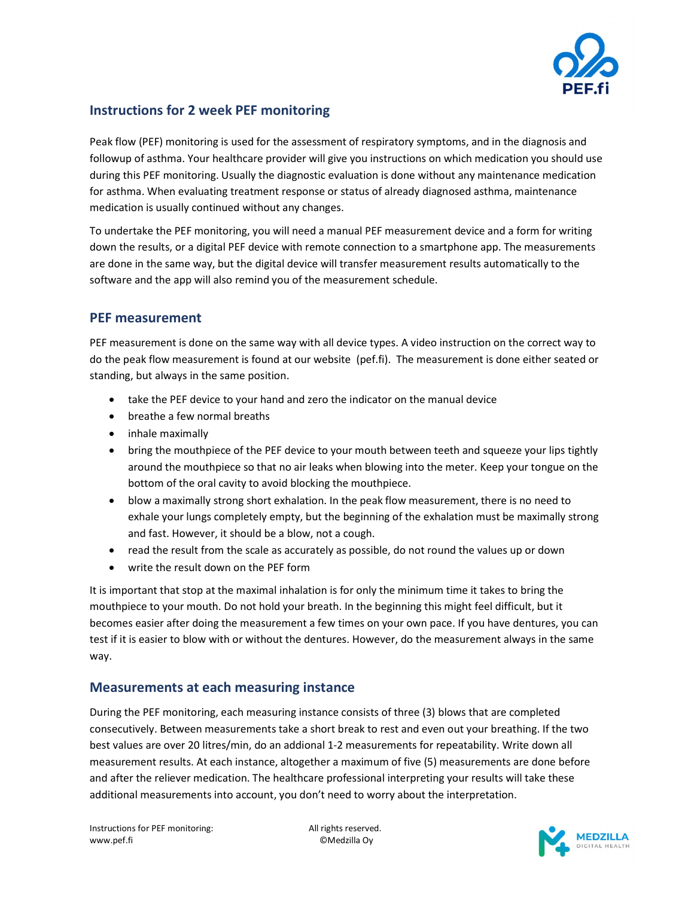

## Instructions for 2 week PEF monitoring

Peak flow (PEF) monitoring is used for the assessment of respiratory symptoms, and in the diagnosis and followup of asthma. Your healthcare provider will give you instructions on which medication you should use during this PEF monitoring. Usually the diagnostic evaluation is done without any maintenance medication for asthma. When evaluating treatment response or status of already diagnosed asthma, maintenance medication is usually continued without any changes.

To undertake the PEF monitoring, you will need a manual PEF measurement device and a form for writing down the results, or a digital PEF device with remote connection to a smartphone app. The measurements are done in the same way, but the digital device will transfer measurement results automatically to the software and the app will also remind you of the measurement schedule.

## PEF measurement

PEF measurement is done on the same way with all device types. A video instruction on the correct way to do the peak flow measurement is found at our website (pef.fi). The measurement is done either seated or standing, but always in the same position.

- take the PEF device to your hand and zero the indicator on the manual device
- breathe a few normal breaths
- inhale maximally
- bring the mouthpiece of the PEF device to your mouth between teeth and squeeze your lips tightly around the mouthpiece so that no air leaks when blowing into the meter. Keep your tongue on the bottom of the oral cavity to avoid blocking the mouthpiece.
- blow a maximally strong short exhalation. In the peak flow measurement, there is no need to exhale your lungs completely empty, but the beginning of the exhalation must be maximally strong and fast. However, it should be a blow, not a cough.
- read the result from the scale as accurately as possible, do not round the values up or down
- write the result down on the PEF form

It is important that stop at the maximal inhalation is for only the minimum time it takes to bring the mouthpiece to your mouth. Do not hold your breath. In the beginning this might feel difficult, but it becomes easier after doing the measurement a few times on your own pace. If you have dentures, you can test if it is easier to blow with or without the dentures. However, do the measurement always in the same way.

## Measurements at each measuring instance

During the PEF monitoring, each measuring instance consists of three (3) blows that are completed consecutively. Between measurements take a short break to rest and even out your breathing. If the two best values are over 20 litres/min, do an addional 1-2 measurements for repeatability. Write down all measurement results. At each instance, altogether a maximum of five (5) measurements are done before and after the reliever medication. The healthcare professional interpreting your results will take these additional measurements into account, you don't need to worry about the interpretation.